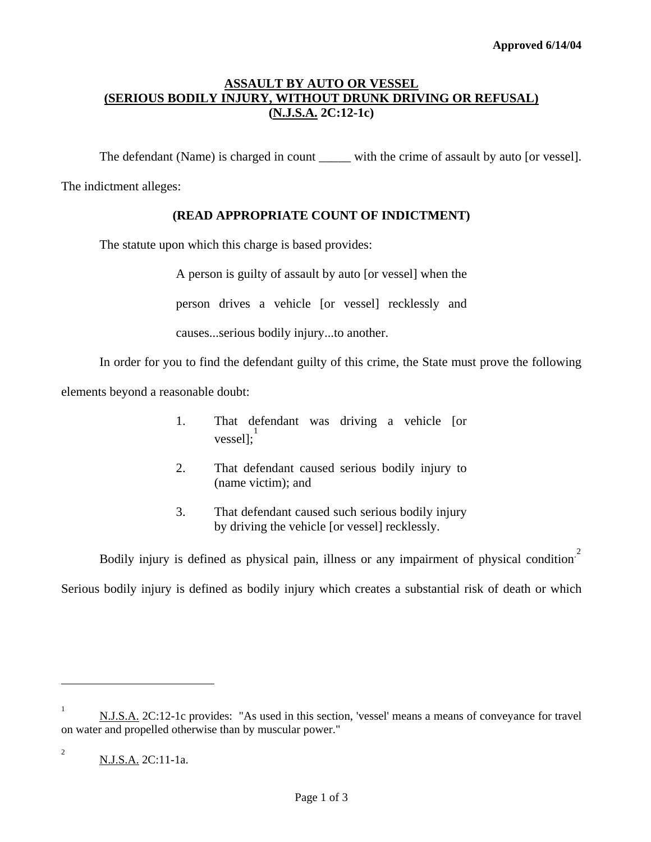# **ASSAULT BY AUTO OR VESSEL (SERIOUS BODILY INJURY, WITHOUT DRUNK DRIVING OR REFUSAL) (N.J.S.A. 2C:12-1c)**

The defendant (Name) is charged in count \_\_\_\_\_ with the crime of assault by auto [or vessel].

The indictment alleges:

## **(READ APPROPRIATE COUNT OF INDICTMENT)**

The statute upon which this charge is based provides:

A person is guilty of assault by auto [or vessel] when the

person drives a vehicle [or vessel] recklessly and

causes...serious bodily injury...to another.

In order for you to find the defendant guilty of this crime, the State must prove the following

elements beyond a reasonable doubt:

- 1. That defendant was driving a vehicle [or vessel];<sup>[1](#page-2-0)</sup>
- 2. That defendant caused serious bodily injury to (name victim); and
- 3. That defendant caused such serious bodily injury by driving the vehicle [or vessel] recklessly.

Bodily injury is defined as physical pain, illness or any impairment of physical condition<sup>[2](#page-0-0)</sup> Serious bodily injury is defined as bodily injury which creates a substantial risk of death or which

l

<span id="page-0-1"></span><sup>1</sup> N.J.S.A. 2C:12-1c provides: "As used in this section, 'vessel' means a means of conveyance for travel on water and propelled otherwise than by muscular power."

<span id="page-0-0"></span><sup>2</sup> N.J.S.A. 2C:11-1a.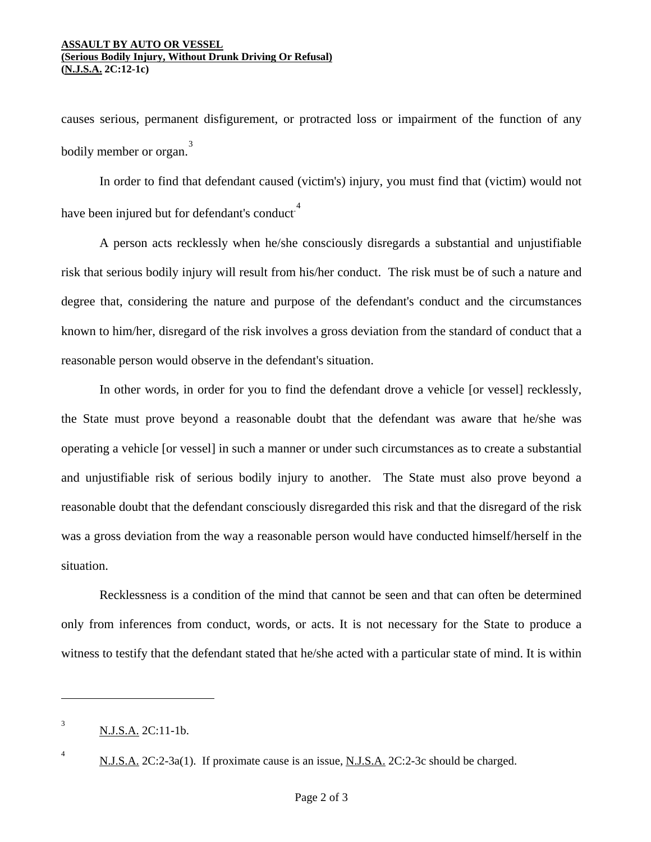#### **ASSAULT BY AUTO OR VESSEL (Serious Bodily Injury, Without Drunk Driving Or Refusal) (N.J.S.A. 2C:12-1c)**

causes serious, permanent disfigurement, or protracted loss or impairment of the function of any bodily member or organ. [3](#page-0-1)

 In order to find that defendant caused (victim's) injury, you must find that (victim) would not have been injured but for defendant's conduct<sup>[4](#page-1-0)</sup>

A person acts recklessly when he/she consciously disregards a substantial and unjustifiable risk that serious bodily injury will result from his/her conduct. The risk must be of such a nature and degree that, considering the nature and purpose of the defendant's conduct and the circumstances known to him/her, disregard of the risk involves a gross deviation from the standard of conduct that a reasonable person would observe in the defendant's situation.

 In other words, in order for you to find the defendant drove a vehicle [or vessel] recklessly, the State must prove beyond a reasonable doubt that the defendant was aware that he/she was operating a vehicle [or vessel] in such a manner or under such circumstances as to create a substantial and unjustifiable risk of serious bodily injury to another. The State must also prove beyond a reasonable doubt that the defendant consciously disregarded this risk and that the disregard of the risk was a gross deviation from the way a reasonable person would have conducted himself/herself in the situation.

Recklessness is a condition of the mind that cannot be seen and that can often be determined only from inferences from conduct, words, or acts. It is not necessary for the State to produce a witness to testify that the defendant stated that he/she acted with a particular state of mind. It is within

<span id="page-1-1"></span><span id="page-1-0"></span>4

<sup>3</sup> N.J.S.A. 2C:11-1b.

N.J.S.A. 2C:2-3a(1). If proximate cause is an issue, N.J.S.A. 2C:2-3c should be charged.